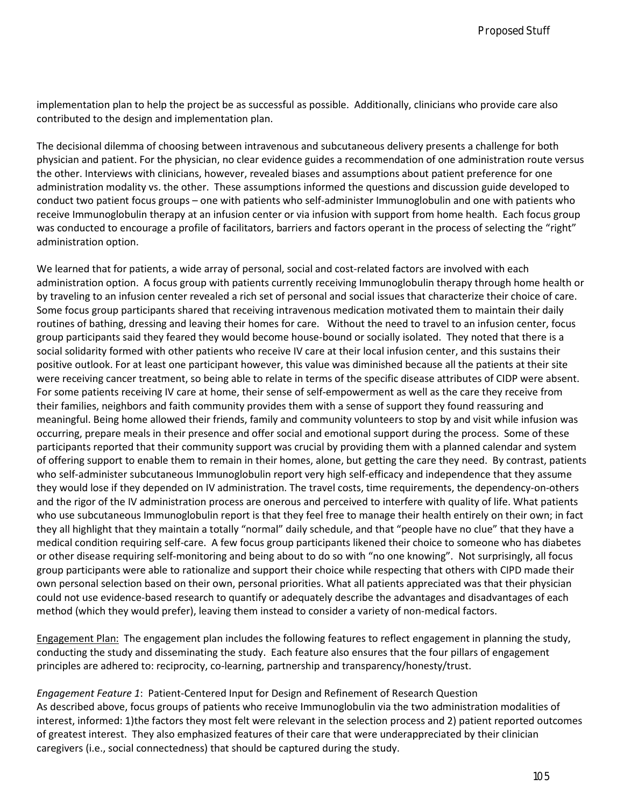implementation plan to help the project be as successful as possible. Additionally, clinicians who provide care also contributed to the design and implementation plan.

The decisional dilemma of choosing between intravenous and subcutaneous delivery presents a challenge for both physician and patient. For the physician, no clear evidence guides a recommendation of one administration route versus the other. Interviews with clinicians, however, revealed biases and assumptions about patient preference for one administration modality vs. the other. These assumptions informed the questions and discussion guide developed to conduct two patient focus groups – one with patients who self-administer Immunoglobulin and one with patients who receive Immunoglobulin therapy at an infusion center or via infusion with support from home health. Each focus group was conducted to encourage a profile of facilitators, barriers and factors operant in the process of selecting the "right" administration option.

We learned that for patients, a wide array of personal, social and cost-related factors are involved with each administration option. A focus group with patients currently receiving Immunoglobulin therapy through home health or by traveling to an infusion center revealed a rich set of personal and social issues that characterize their choice of care. Some focus group participants shared that receiving intravenous medication motivated them to maintain their daily routines of bathing, dressing and leaving their homes for care. Without the need to travel to an infusion center, focus group participants said they feared they would become house-bound or socially isolated. They noted that there is a social solidarity formed with other patients who receive IV care at their local infusion center, and this sustains their positive outlook. For at least one participant however, this value was diminished because all the patients at their site were receiving cancer treatment, so being able to relate in terms of the specific disease attributes of CIDP were absent. For some patients receiving IV care at home, their sense of self-empowerment as well as the care they receive from their families, neighbors and faith community provides them with a sense of support they found reassuring and meaningful. Being home allowed their friends, family and community volunteers to stop by and visit while infusion was occurring, prepare meals in their presence and offer social and emotional support during the process. Some of these participants reported that their community support was crucial by providing them with a planned calendar and system of offering support to enable them to remain in their homes, alone, but getting the care they need. By contrast, patients who self-administer subcutaneous Immunoglobulin report very high self-efficacy and independence that they assume they would lose if they depended on IV administration. The travel costs, time requirements, the dependency-on-others and the rigor of the IV administration process are onerous and perceived to interfere with quality of life. What patients who use subcutaneous Immunoglobulin report is that they feel free to manage their health entirely on their own; in fact they all highlight that they maintain a totally "normal" daily schedule, and that "people have no clue" that they have a medical condition requiring self-care. A few focus group participants likened their choice to someone who has diabetes or other disease requiring self-monitoring and being about to do so with "no one knowing". Not surprisingly, all focus group participants were able to rationalize and support their choice while respecting that others with CIPD made their own personal selection based on their own, personal priorities. What all patients appreciated was that their physician could not use evidence-based research to quantify or adequately describe the advantages and disadvantages of each method (which they would prefer), leaving them instead to consider a variety of non-medical factors. **FANDAY Neuromannials Journal Project by the studients of the studients of the studients of the studients of the studients of the studients of the studients of the studients of the studients of the studients of the studien** 

Engagement Plan: The engagement plan includes the following features to reflect engagement in planning the study, conducting the study and disseminating the study. Each feature also ensures that the four pillars of engagement principles are adhered to: reciprocity, co-learning, partnership and transparency/honesty/trust.

*Engagement Feature 1*: Patient-Centered Input for Design and Refinement of Research Question As described above, focus groups of patients who receive Immunoglobulin via the two administration modalities of interest, informed: 1)the factors they most felt were relevant in the selection process and 2) patient reported outcomes of greatest interest. They also emphasized features of their care that were underappreciated by their clinician caregivers (i.e., social connectedness) that should be captured during the study.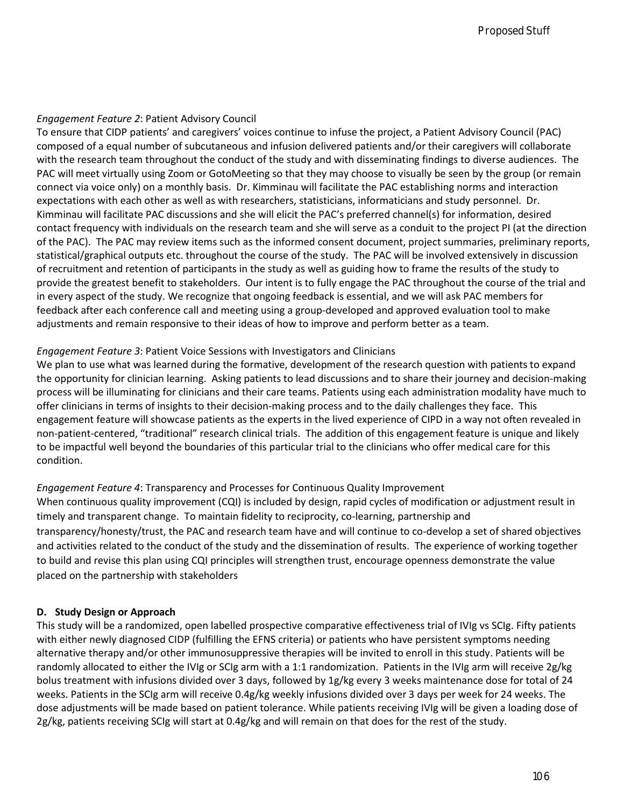### *Engagement Feature 2*: Patient Advisory Council

To ensure that CIDP patients' and caregivers' voices continue to infuse the project, a Patient Advisory Council (PAC) composed of a equal number of subcutaneous and infusion delivered patients and/or their caregivers will collaborate with the research team throughout the conduct of the study and with disseminating findings to diverse audiences. The PAC will meet virtually using Zoom or GotoMeeting so that they may choose to visually be seen by the group (or remain connect via voice only) on a monthly basis. Dr. Kimminau will facilitate the PAC establishing norms and interaction expectations with each other as well as with researchers, statisticians, informaticians and study personnel. Dr. Kimminau will facilitate PAC discussions and she will elicit the PAC's preferred channel(s) for information, desired contact frequency with individuals on the research team and she will serve as a conduit to the project PI (at the direction of the PAC). The PAC may review items such as the informed consent document, project summaries, preliminary reports, statistical/graphical outputs etc. throughout the course of the study. The PAC will be involved extensively in discussion of recruitment and retention of participants in the study as well as guiding how to frame the results of the study to provide the greatest benefit to stakeholders. Our intent is to fully engage the PAC throughout the course of the trial and in every aspect of the study. We recognize that ongoing feedback is essential, and we will ask PAC members for feedback after each conference call and meeting using a group-developed and approved evaluation tool to make adjustments and remain responsive to their ideas of how to improve and perform better as a team. **FRNMF Yousumedia Jumal**<br> **From Fracture 2: Patient Advisory Council**<br> **EFO that CDP particle of the SPENCHA CONSULATE CONSULATE (STEP IS a matrix of the first of the SPENCHA CONSULATE CONSULATE CONSULATE CONSULATE CONSULA** 

# *Engagement Feature 3*: Patient Voice Sessions with Investigators and Clinicians

We plan to use what was learned during the formative, development of the research question with patients to expand the opportunity for clinician learning. Asking patients to lead discussions and to share their journey and decision-making process will be illuminating for clinicians and their care teams. Patients using each administration modality have much to offer clinicians in terms of insights to their decision-making process and to the daily challenges they face. This engagement feature will showcase patients as the experts in the lived experience of CIPD in a way not often revealed in non-patient-centered, "traditional" research clinical trials. The addition of this engagement feature is unique and likely to be impactful well beyond the boundaries of this particular trial to the clinicians who offer medical care for this condition.

*Engagement Feature 4*: Transparency and Processes for Continuous Quality Improvement When continuous quality improvement (CQI) is included by design, rapid cycles of modification or adjustment result in timely and transparent change. To maintain fidelity to reciprocity, co-learning, partnership and transparency/honesty/trust, the PAC and research team have and will continue to co-develop a set of shared objectives and activities related to the conduct of the study and the dissemination of results. The experience of working together to build and revise this plan using CQI principles will strengthen trust, encourage openness demonstrate the value placed on the partnership with stakeholders

# **D. Study Design or Approach**

This study will be a randomized, open labelled prospective comparative effectiveness trial of IVIg vs SCIg. Fifty patients with either newly diagnosed CIDP (fulfilling the EFNS criteria) or patients who have persistent symptoms needing alternative therapy and/or other immunosuppressive therapies will be invited to enroll in this study. Patients will be randomly allocated to either the IVIg or SCIg arm with a 1:1 randomization. Patients in the IVIg arm will receive 2g/kg bolus treatment with infusions divided over 3 days, followed by 1g/kg every 3 weeks maintenance dose for total of 24 weeks. Patients in the SCIg arm will receive 0.4g/kg weekly infusions divided over 3 days per week for 24 weeks. The dose adjustments will be made based on patient tolerance. While patients receiving IVIg will be given a loading dose of 2g/kg, patients receiving SCIg will start at 0.4g/kg and will remain on that does for the rest of the study.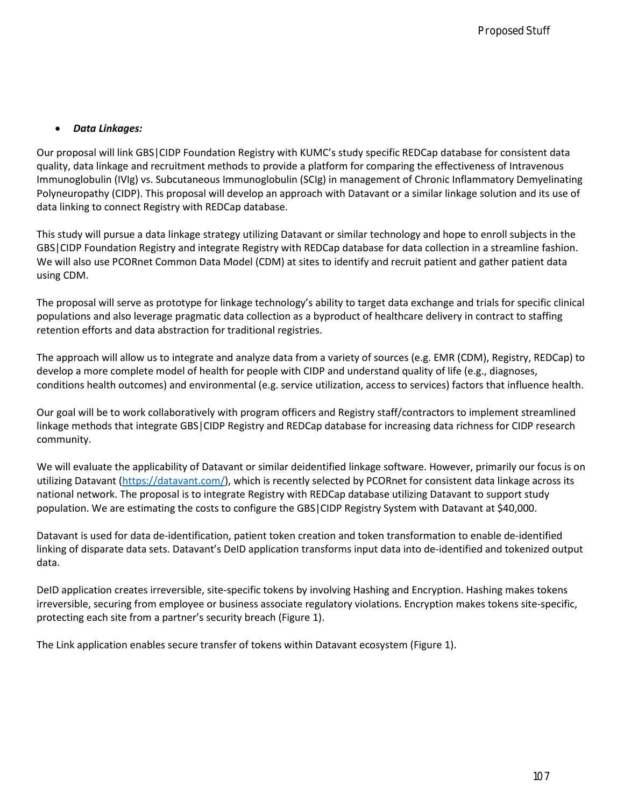#### • *Data Linkages:*

Our proposal will link GBS|CIDP Foundation Registry with KUMC's study specific REDCap database for consistent data quality, data linkage and recruitment methods to provide a platform for comparing the effectiveness of Intravenous Immunoglobulin (IVIg) vs. Subcutaneous Immunoglobulin (SCIg) in management of Chronic Inflammatory Demyelinating Polyneuropathy (CIDP). This proposal will develop an approach with Datavant or a similar linkage solution and its use of data linking to connect Registry with REDCap database. **Frontiers:**<br>**Frontiers:**<br>**BASNA: Venumeratin Jumnist Proposition Repetity with KUMC's study specific REDCap distabate for consistent<br>
Formal Proposition Republic Republic Republic Decision Republic Republic Republic Repub** 

This study will pursue a data linkage strategy utilizing Datavant or similar technology and hope to enroll subjects in the GBS|CIDP Foundation Registry and integrate Registry with REDCap database for data collection in a streamline fashion. We will also use PCORnet Common Data Model (CDM) at sites to identify and recruit patient and gather patient data using CDM.

The proposal will serve as prototype for linkage technology's ability to target data exchange and trials for specific clinical populations and also leverage pragmatic data collection as a byproduct of healthcare delivery in contract to staffing retention efforts and data abstraction for traditional registries.

The approach will allow us to integrate and analyze data from a variety of sources (e.g. EMR (CDM), Registry, REDCap) to develop a more complete model of health for people with CIDP and understand quality of life (e.g., diagnoses, conditions health outcomes) and environmental (e.g. service utilization, access to services) factors that influence health.

Our goal will be to work collaboratively with program officers and Registry staff/contractors to implement streamlined linkage methods that integrate GBS|CIDP Registry and REDCap database for increasing data richness for CIDP research community.

We will evaluate the applicability of Datavant or similar deidentified linkage software. However, primarily our focus is on utilizing Datavant [\(https://datavant.com/\)](https://datavant.com/), which is recently selected by PCORnet for consistent data linkage across its national network. The proposal is to integrate Registry with REDCap database utilizing Datavant to support study population. We are estimating the costs to configure the GBS|CIDP Registry System with Datavant at \$40,000.

Datavant is used for data de-identification, patient token creation and token transformation to enable de-identified linking of disparate data sets. Datavant's DeID application transforms input data into de-identified and tokenized output data.

DeID application creates irreversible, site-specific tokens by involving Hashing and Encryption. Hashing makes tokens irreversible, securing from employee or business associate regulatory violations. Encryption makes tokens site-specific, protecting each site from a partner's security breach (Figure 1).

The Link application enables secure transfer of tokens within Datavant ecosystem (Figure 1).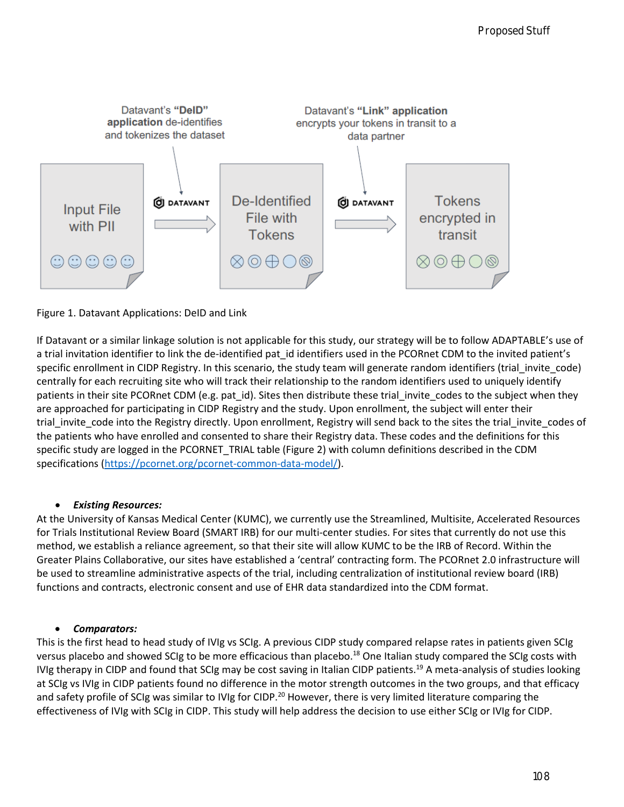

### Figure 1. Datavant Applications: DeID and Link

If Datavant or a similar linkage solution is not applicable for this study, our strategy will be to follow ADAPTABLE's use of a trial invitation identifier to link the de-identified pat id identifiers used in the PCORnet CDM to the invited patient's specific enrollment in CIDP Registry. In this scenario, the study team will generate random identifiers (trial invite code) centrally for each recruiting site who will track their relationship to the random identifiers used to uniquely identify patients in their site PCORnet CDM (e.g. pat id). Sites then distribute these trial invite codes to the subject when they are approached for participating in CIDP Registry and the study. Upon enrollment, the subject will enter their trial invite code into the Registry directly. Upon enrollment, Registry will send back to the sites the trial invite codes of the patients who have enrolled and consented to share their Registry data. These codes and the definitions for this specific study are logged in the PCORNET\_TRIAL table (Figure 2) with column definitions described in the CDM specifications [\(https://pcornet.org/pcornet-common-data-model/\)](https://pcornet.org/pcornet-common-data-model/).

#### • *Existing Resources:*

At the University of Kansas Medical Center (KUMC), we currently use the Streamlined, Multisite, Accelerated Resources for Trials Institutional Review Board (SMART IRB) for our multi-center studies. For sites that currently do not use this method, we establish a reliance agreement, so that their site will allow KUMC to be the IRB of Record. Within the Greater Plains Collaborative, our sites have established a 'central' contracting form. The PCORnet 2.0 infrastructure will be used to streamline administrative aspects of the trial, including centralization of institutional review board (IRB) functions and contracts, electronic consent and use of EHR data standardized into the CDM format.

#### • *Comparators:*

This is the first head to head study of IVIg vs SCIg. A previous CIDP study compared relapse rates in patients given SCIg versus placebo and showed SCIg to be more efficacious than placebo.<sup>18</sup> One Italian study compared the SCIg costs with IVIg therapy in CIDP and found that SCIg may be cost saving in Italian CIDP patients.<sup>19</sup> A meta-analysis of studies looking at SCIg vs IVIg in CIDP patients found no difference in the motor strength outcomes in the two groups, and that efficacy and safety profile of SCIg was similar to IVIg for CIDP.<sup>20</sup> However, there is very limited literature comparing the effectiveness of IVIg with SCIg in CIDP. This study will help address the decision to use either SCIg or IVIg for CIDP.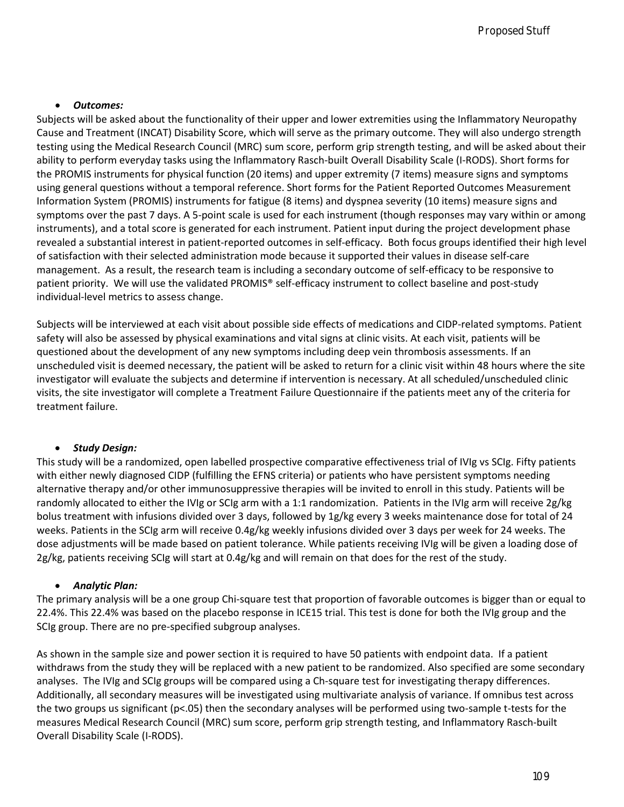#### • *Outcomes:*

Subjects will be asked about the functionality of their upper and lower extremities using the Inflammatory Neuropathy Cause and Treatment (INCAT) Disability Score, which will serve as the primary outcome. They will also undergo strength testing using the Medical Research Council (MRC) sum score, perform grip strength testing, and will be asked about their ability to perform everyday tasks using the Inflammatory Rasch-built Overall Disability Scale (I-RODS). Short forms for the PROMIS instruments for physical function (20 items) and upper extremity (7 items) measure signs and symptoms using general questions without a temporal reference. Short forms for the Patient Reported Outcomes Measurement Information System (PROMIS) instruments for fatigue (8 items) and dyspnea severity (10 items) measure signs and symptoms over the past 7 days. A 5-point scale is used for each instrument (though responses may vary within or among instruments), and a total score is generated for each instrument. Patient input during the project development phase revealed a substantial interest in patient-reported outcomes in self-efficacy. Both focus groups identified their high level of satisfaction with their selected administration mode because it supported their values in disease self-care management. As a result, the research team is including a secondary outcome of self-efficacy to be responsive to patient priority. We will use the validated PROMIS® self-efficacy instrument to collect baseline and post-study individual-level metrics to assess change. *Proceed Stuff be the Chief Conservation* and a state of the conservation in the conservation of the chief method of the chief method of the chief method of the chief method of the chief method of the chief method of the c

Subjects will be interviewed at each visit about possible side effects of medications and CIDP-related symptoms. Patient safety will also be assessed by physical examinations and vital signs at clinic visits. At each visit, patients will be questioned about the development of any new symptoms including deep vein thrombosis assessments. If an unscheduled visit is deemed necessary, the patient will be asked to return for a clinic visit within 48 hours where the site investigator will evaluate the subjects and determine if intervention is necessary. At all scheduled/unscheduled clinic visits, the site investigator will complete a Treatment Failure Questionnaire if the patients meet any of the criteria for treatment failure.

### • *Study Design:*

This study will be a randomized, open labelled prospective comparative effectiveness trial of IVIg vs SCIg. Fifty patients with either newly diagnosed CIDP (fulfilling the EFNS criteria) or patients who have persistent symptoms needing alternative therapy and/or other immunosuppressive therapies will be invited to enroll in this study. Patients will be randomly allocated to either the IVIg or SCIg arm with a 1:1 randomization. Patients in the IVIg arm will receive 2g/kg bolus treatment with infusions divided over 3 days, followed by 1g/kg every 3 weeks maintenance dose for total of 24 weeks. Patients in the SCIg arm will receive 0.4g/kg weekly infusions divided over 3 days per week for 24 weeks. The dose adjustments will be made based on patient tolerance. While patients receiving IVIg will be given a loading dose of 2g/kg, patients receiving SCIg will start at 0.4g/kg and will remain on that does for the rest of the study.

### • *Analytic Plan:*

The primary analysis will be a one group Chi-square test that proportion of favorable outcomes is bigger than or equal to 22.4%. This 22.4% was based on the placebo response in ICE15 trial. This test is done for both the IVIg group and the SCIg group. There are no pre-specified subgroup analyses.

As shown in the sample size and power section it is required to have 50 patients with endpoint data. If a patient withdraws from the study they will be replaced with a new patient to be randomized. Also specified are some secondary analyses. The IVIg and SCIg groups will be compared using a Ch-square test for investigating therapy differences. Additionally, all secondary measures will be investigated using multivariate analysis of variance. If omnibus test across the two groups us significant (p<.05) then the secondary analyses will be performed using two-sample t-tests for the measures Medical Research Council (MRC) sum score, perform grip strength testing, and Inflammatory Rasch-built Overall Disability Scale (I-RODS).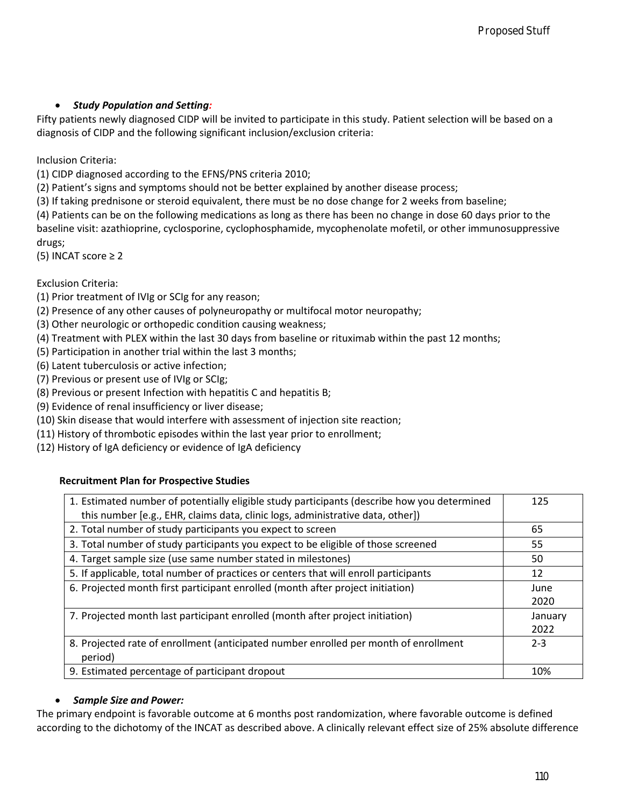# • *Study Population and Setting:*

Inclusion Criteria:

(1) CIDP diagnosed according to the EFNS/PNS criteria 2010;

(2) Patient's signs and symptoms should not be better explained by another disease process;

(3) If taking prednisone or steroid equivalent, there must be no dose change for 2 weeks from baseline;

(5) INCAT score ≥ 2

Exclusion Criteria:

- (1) Prior treatment of IVIg or SCIg for any reason;
- (2) Presence of any other causes of polyneuropathy or multifocal motor neuropathy;
- (3) Other neurologic or orthopedic condition causing weakness;
- (4) Treatment with PLEX within the last 30 days from baseline or rituximab within the past 12 months;
- (5) Participation in another trial within the last 3 months;
- (6) Latent tuberculosis or active infection;
- (7) Previous or present use of IVIg or SCIg;
- (8) Previous or present Infection with hepatitis C and hepatitis B;
- (9) Evidence of renal insufficiency or liver disease;
- (10) Skin disease that would interfere with assessment of injection site reaction;
- (11) History of thrombotic episodes within the last year prior to enrollment;
- (12) History of IgA deficiency or evidence of IgA deficiency

# **Recruitment Plan for Prospective Studies**

| <b>Study Population and Setting:</b>                                                                                                                                                                                                                                                                                                                                                                                      |                 |
|---------------------------------------------------------------------------------------------------------------------------------------------------------------------------------------------------------------------------------------------------------------------------------------------------------------------------------------------------------------------------------------------------------------------------|-----------------|
| patients newly diagnosed CIDP will be invited to participate in this study. Patient selection will be based on a<br>nosis of CIDP and the following significant inclusion/exclusion criteria:                                                                                                                                                                                                                             |                 |
| sion Criteria:<br>IDP diagnosed according to the EFNS/PNS criteria 2010;                                                                                                                                                                                                                                                                                                                                                  |                 |
| atient's signs and symptoms should not be better explained by another disease process;<br>taking prednisone or steroid equivalent, there must be no dose change for 2 weeks from baseline;<br>atients can be on the following medications as long as there has been no change in dose 60 days prior to the<br>line visit: azathioprine, cyclosporine, cyclophosphamide, mycophenolate mofetil, or other immunosuppressive |                 |
| 5;<br>$ICAT score \geq 2$                                                                                                                                                                                                                                                                                                                                                                                                 |                 |
| sion Criteria:                                                                                                                                                                                                                                                                                                                                                                                                            |                 |
| rior treatment of IVIg or SCIg for any reason;<br>resence of any other causes of polyneuropathy or multifocal motor neuropathy;                                                                                                                                                                                                                                                                                           |                 |
| ther neurologic or orthopedic condition causing weakness;<br>reatment with PLEX within the last 30 days from baseline or rituximab within the past 12 months;                                                                                                                                                                                                                                                             |                 |
|                                                                                                                                                                                                                                                                                                                                                                                                                           |                 |
|                                                                                                                                                                                                                                                                                                                                                                                                                           |                 |
|                                                                                                                                                                                                                                                                                                                                                                                                                           |                 |
| articipation in another trial within the last 3 months;<br>atent tuberculosis or active infection;<br>revious or present use of IVIg or SCIg;<br>revious or present Infection with hepatitis C and hepatitis B;<br>vidence of renal insufficiency or liver disease;                                                                                                                                                       |                 |
| Skin disease that would interfere with assessment of injection site reaction;<br>History of thrombotic episodes within the last year prior to enrollment;                                                                                                                                                                                                                                                                 |                 |
| History of IgA deficiency or evidence of IgA deficiency                                                                                                                                                                                                                                                                                                                                                                   |                 |
| <b>Recruitment Plan for Prospective Studies</b>                                                                                                                                                                                                                                                                                                                                                                           |                 |
| 1. Estimated number of potentially eligible study participants (describe how you determined<br>this number [e.g., EHR, claims data, clinic logs, administrative data, other])                                                                                                                                                                                                                                             | 125             |
| 2. Total number of study participants you expect to screen                                                                                                                                                                                                                                                                                                                                                                | 65              |
| 3. Total number of study participants you expect to be eligible of those screened                                                                                                                                                                                                                                                                                                                                         | 55              |
| 4. Target sample size (use same number stated in milestones)                                                                                                                                                                                                                                                                                                                                                              | 50              |
| 5. If applicable, total number of practices or centers that will enroll participants                                                                                                                                                                                                                                                                                                                                      | 12              |
| 6. Projected month first participant enrolled (month after project initiation)                                                                                                                                                                                                                                                                                                                                            | June            |
|                                                                                                                                                                                                                                                                                                                                                                                                                           | 2020            |
| 7. Projected month last participant enrolled (month after project initiation)                                                                                                                                                                                                                                                                                                                                             | January         |
| 8. Projected rate of enrollment (anticipated number enrolled per month of enrollment<br>period)                                                                                                                                                                                                                                                                                                                           | 2022<br>$2 - 3$ |

### • *Sample Size and Power:*